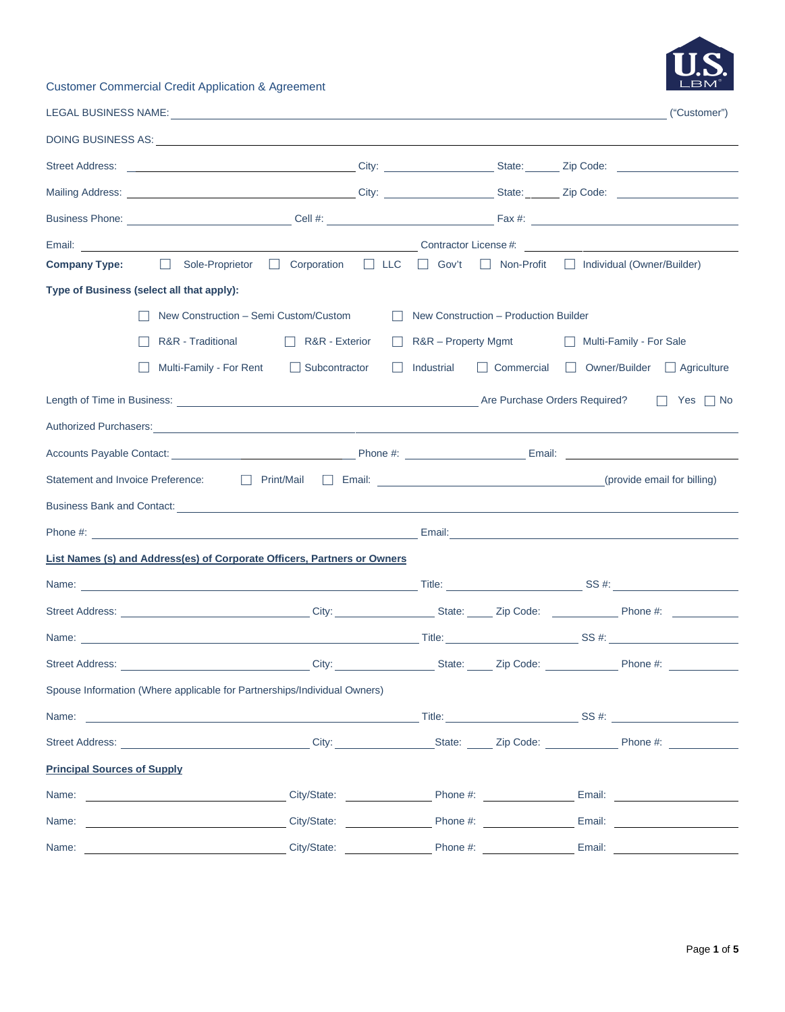# Customer Commercial Credit Application & Agreement

| BM |
|----|
|    |

|                                    |                                                                                                                                                                                                                                     |                                                                                    |                       |  |  | ("Customer")                                      |  |  |
|------------------------------------|-------------------------------------------------------------------------------------------------------------------------------------------------------------------------------------------------------------------------------------|------------------------------------------------------------------------------------|-----------------------|--|--|---------------------------------------------------|--|--|
|                                    |                                                                                                                                                                                                                                     |                                                                                    |                       |  |  |                                                   |  |  |
|                                    |                                                                                                                                                                                                                                     |                                                                                    |                       |  |  |                                                   |  |  |
|                                    | Mailing Address: <u>New York: Nicola Address:</u> City: National Address: National Address: National Address: National Address: National Address: National Address: National Address: National Address: National Address: National  |                                                                                    |                       |  |  |                                                   |  |  |
|                                    |                                                                                                                                                                                                                                     |                                                                                    |                       |  |  |                                                   |  |  |
|                                    |                                                                                                                                                                                                                                     |                                                                                    |                       |  |  |                                                   |  |  |
|                                    | <b>Company Type:</b> □ Sole-Proprietor □ Corporation □ LLC                                                                                                                                                                          |                                                                                    |                       |  |  | □ Gov't □ Non-Profit □ Individual (Owner/Builder) |  |  |
|                                    | Type of Business (select all that apply):                                                                                                                                                                                           |                                                                                    |                       |  |  |                                                   |  |  |
|                                    |                                                                                                                                                                                                                                     | New Construction - Semi Custom/Custom<br>    New Construction – Production Builder |                       |  |  |                                                   |  |  |
|                                    | R&R - Traditional                                                                                                                                                                                                                   | $\Box$ R&R - Exterior                                                              | □ R&R – Property Mgmt |  |  | Multi-Family - For Sale                           |  |  |
|                                    | Multi-Family - For Rent                                                                                                                                                                                                             | Subcontractor                                                                      | Industrial            |  |  | □ Commercial □ Owner/Builder □ Agriculture        |  |  |
| $\Box$ Yes $\Box$ No               |                                                                                                                                                                                                                                     |                                                                                    |                       |  |  |                                                   |  |  |
|                                    | Authorized Purchasers: <u>Communications</u> and the contract of the contract of the contract of the contract of the contract of the contract of the contract of the contract of the contract of the contract of the contract of th |                                                                                    |                       |  |  |                                                   |  |  |
|                                    |                                                                                                                                                                                                                                     |                                                                                    |                       |  |  |                                                   |  |  |
|                                    | Statement and Invoice Preference: <u>Journal Mail Brito Charles Communication</u> Charles Charles (provide email for billing)                                                                                                       |                                                                                    |                       |  |  |                                                   |  |  |
|                                    |                                                                                                                                                                                                                                     |                                                                                    |                       |  |  |                                                   |  |  |
|                                    |                                                                                                                                                                                                                                     |                                                                                    |                       |  |  |                                                   |  |  |
|                                    | <b>List Names (s) and Address(es) of Corporate Officers, Partners or Owners</b>                                                                                                                                                     |                                                                                    |                       |  |  |                                                   |  |  |
|                                    |                                                                                                                                                                                                                                     |                                                                                    |                       |  |  |                                                   |  |  |
|                                    |                                                                                                                                                                                                                                     |                                                                                    |                       |  |  |                                                   |  |  |
|                                    |                                                                                                                                                                                                                                     |                                                                                    |                       |  |  |                                                   |  |  |
|                                    | Street Address: __________________________________City: __________________State: ______ Zip Code: ____________ Phone #: _______________                                                                                             |                                                                                    |                       |  |  |                                                   |  |  |
|                                    | Spouse Information (Where applicable for Partnerships/Individual Owners)                                                                                                                                                            |                                                                                    |                       |  |  |                                                   |  |  |
|                                    |                                                                                                                                                                                                                                     |                                                                                    |                       |  |  |                                                   |  |  |
|                                    | Street Address: ________________________________City: __________________State: ______Zip Code: ______________Phone #: ________________                                                                                              |                                                                                    |                       |  |  |                                                   |  |  |
| <b>Principal Sources of Supply</b> |                                                                                                                                                                                                                                     |                                                                                    |                       |  |  |                                                   |  |  |
| Name:                              | City/State: City/State: City/State: Phone #: City/State: Phone #: City/State: Phone #: City/State: City/State: City/State: City/State: City/State: City/State: City/State: City/State: City/State: City/State: City/State: Cit      |                                                                                    |                       |  |  |                                                   |  |  |
| Name:                              | <u> 1980 - Johann Barbara, martin a</u>                                                                                                                                                                                             |                                                                                    |                       |  |  | City/State: <u>City/State:</u> Phone #: Email:    |  |  |
| Name:                              |                                                                                                                                                                                                                                     |                                                                                    |                       |  |  |                                                   |  |  |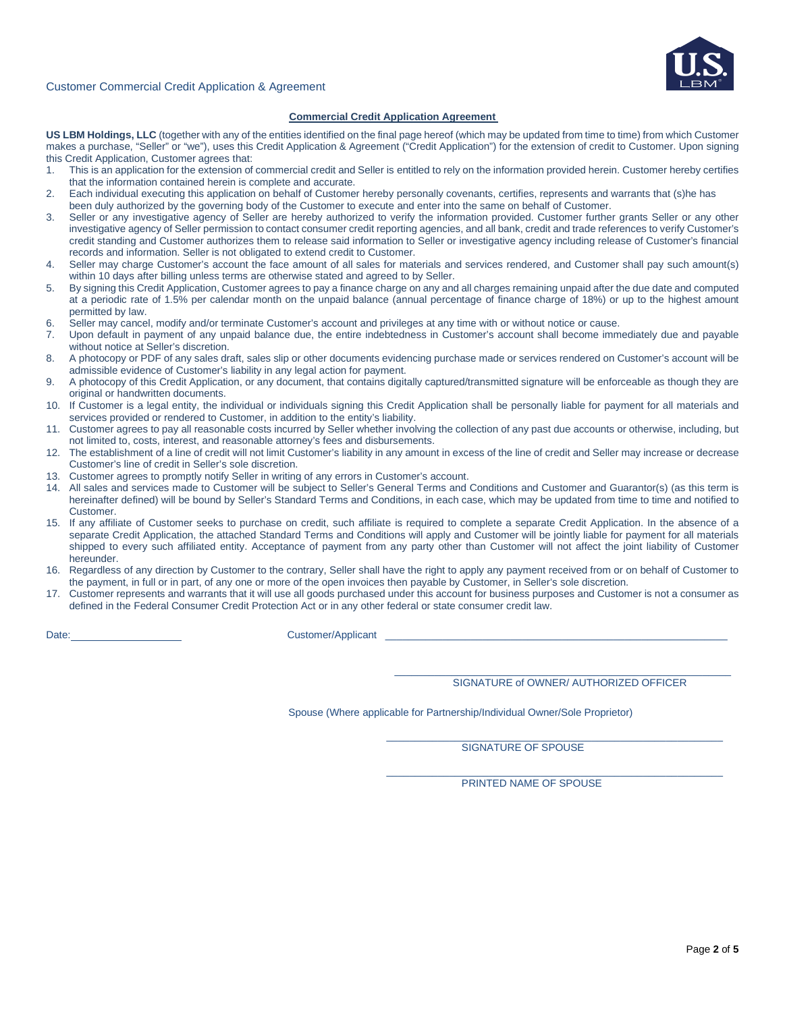

#### Customer Commercial Credit Application & Agreement

#### **Commercial Credit Application Agreement**

**US LBM Holdings, LLC** (together with any of the entities identified on the final page hereof (which may be updated from time to time) from which Customer makes a purchase, "Seller" or "we"), uses this Credit Application & Agreement ("Credit Application") for the extension of credit to Customer. Upon signing this Credit Application, Customer agrees that:

- 1. This is an application for the extension of commercial credit and Seller is entitled to rely on the information provided herein. Customer hereby certifies that the information contained herein is complete and accurate.
- 2. Each individual executing this application on behalf of Customer hereby personally covenants, certifies, represents and warrants that (s)he has been duly authorized by the governing body of the Customer to execute and enter into the same on behalf of Customer.
- 3. Seller or any investigative agency of Seller are hereby authorized to verify the information provided. Customer further grants Seller or any other investigative agency of Seller permission to contact consumer credit reporting agencies, and all bank, credit and trade references to verify Customer's credit standing and Customer authorizes them to release said information to Seller or investigative agency including release of Customer's financial records and information. Seller is not obligated to extend credit to Customer.
- 4. Seller may charge Customer's account the face amount of all sales for materials and services rendered, and Customer shall pay such amount(s) within 10 days after billing unless terms are otherwise stated and agreed to by Seller.
- 5. By signing this Credit Application, Customer agrees to pay a finance charge on any and all charges remaining unpaid after the due date and computed at a periodic rate of 1.5% per calendar month on the unpaid balance (annual percentage of finance charge of 18%) or up to the highest amount permitted by law.
- 6. Seller may cancel, modify and/or terminate Customer's account and privileges at any time with or without notice or cause.
- 7. Upon default in payment of any unpaid balance due, the entire indebtedness in Customer's account shall become immediately due and payable without notice at Seller's discretion.
- 8. A photocopy or PDF of any sales draft, sales slip or other documents evidencing purchase made or services rendered on Customer's account will be admissible evidence of Customer's liability in any legal action for payment.
- 9. A photocopy of this Credit Application, or any document, that contains digitally captured/transmitted signature will be enforceable as though they are original or handwritten documents.
- 10. If Customer is a legal entity, the individual or individuals signing this Credit Application shall be personally liable for payment for all materials and services provided or rendered to Customer, in addition to the entity's liability.
- 11. Customer agrees to pay all reasonable costs incurred by Seller whether involving the collection of any past due accounts or otherwise, including, but not limited to, costs, interest, and reasonable attorney's fees and disbursements.
- 12. The establishment of a line of credit will not limit Customer's liability in any amount in excess of the line of credit and Seller may increase or decrease Customer's line of credit in Seller's sole discretion.
- 13. Customer agrees to promptly notify Seller in writing of any errors in Customer's account.
- 14. All sales and services made to Customer will be subject to Seller's General Terms and Conditions and Customer and Guarantor(s) (as this term is hereinafter defined) will be bound by Seller's Standard Terms and Conditions, in each case, which may be updated from time to time and notified to Customer.
- 15. If any affiliate of Customer seeks to purchase on credit, such affiliate is required to complete a separate Credit Application. In the absence of a separate Credit Application, the attached Standard Terms and Conditions will apply and Customer will be jointly liable for payment for all materials shipped to every such affiliated entity. Acceptance of payment from any party other than Customer will not affect the joint liability of Customer hereunder.
- 16. Regardless of any direction by Customer to the contrary, Seller shall have the right to apply any payment received from or on behalf of Customer to the payment, in full or in part, of any one or more of the open invoices then payable by Customer, in Seller's sole discretion.
- 17. Customer represents and warrants that it will use all goods purchased under this account for business purposes and Customer is not a consumer as defined in the Federal Consumer Credit Protection Act or in any other federal or state consumer credit law.

 $\_$ 

Date: Customer/Applicant

SIGNATURE of OWNER/ AUTHORIZED OFFICER

Spouse (Where applicable for Partnership/Individual Owner/Sole Proprietor)

 $\frac{1}{2}$  ,  $\frac{1}{2}$  ,  $\frac{1}{2}$  ,  $\frac{1}{2}$  ,  $\frac{1}{2}$  ,  $\frac{1}{2}$  ,  $\frac{1}{2}$  ,  $\frac{1}{2}$  ,  $\frac{1}{2}$  ,  $\frac{1}{2}$  ,  $\frac{1}{2}$  ,  $\frac{1}{2}$  ,  $\frac{1}{2}$  ,  $\frac{1}{2}$  ,  $\frac{1}{2}$  ,  $\frac{1}{2}$  ,  $\frac{1}{2}$  ,  $\frac{1}{2}$  ,  $\frac{1$ SIGNATURE OF SPOUSE

 $\mathcal{L}_\text{max}$  and  $\mathcal{L}_\text{max}$  and  $\mathcal{L}_\text{max}$  are the set of the set of the set of the set of the set of the set of the set of the set of the set of the set of the set of the set of the set of the set of the set of th PRINTED NAME OF SPOUSE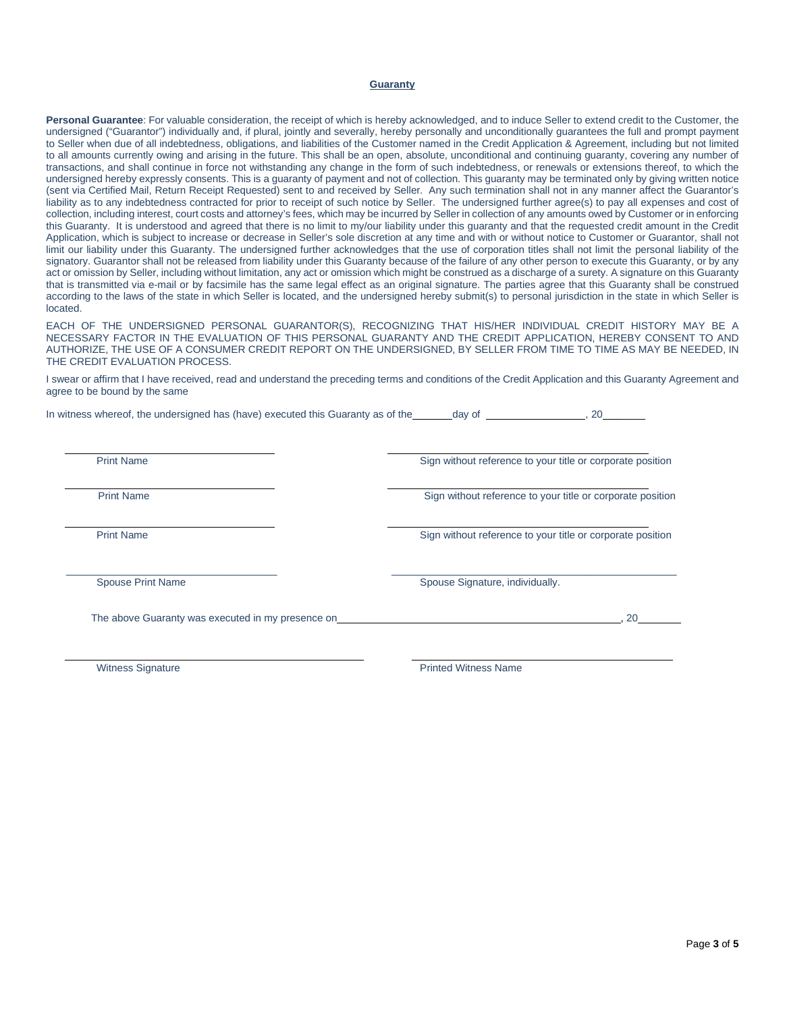#### **Guaranty**

**Personal Guarantee**: For valuable consideration, the receipt of which is hereby acknowledged, and to induce Seller to extend credit to the Customer, the undersigned ("Guarantor") individually and, if plural, jointly and severally, hereby personally and unconditionally guarantees the full and prompt payment to Seller when due of all indebtedness, obligations, and liabilities of the Customer named in the Credit Application & Agreement, including but not limited to all amounts currently owing and arising in the future. This shall be an open, absolute, unconditional and continuing guaranty, covering any number of transactions, and shall continue in force not withstanding any change in the form of such indebtedness, or renewals or extensions thereof, to which the undersigned hereby expressly consents. This is a guaranty of payment and not of collection. This guaranty may be terminated only by giving written notice (sent via Certified Mail, Return Receipt Requested) sent to and received by Seller. Any such termination shall not in any manner affect the Guarantor's liability as to any indebtedness contracted for prior to receipt of such notice by Seller. The undersigned further agree(s) to pay all expenses and cost of collection, including interest, court costs and attorney's fees, which may be incurred by Seller in collection of any amounts owed by Customer or in enforcing this Guaranty. It is understood and agreed that there is no limit to my/our liability under this guaranty and that the requested credit amount in the Credit Application, which is subject to increase or decrease in Seller's sole discretion at any time and with or without notice to Customer or Guarantor, shall not limit our liability under this Guaranty. The undersigned further acknowledges that the use of corporation titles shall not limit the personal liability of the signatory. Guarantor shall not be released from liability under this Guaranty because of the failure of any other person to execute this Guaranty, or by any act or omission by Seller, including without limitation, any act or omission which might be construed as a discharge of a surety. A signature on this Guaranty that is transmitted via e-mail or by facsimile has the same legal effect as an original signature. The parties agree that this Guaranty shall be construed according to the laws of the state in which Seller is located, and the undersigned hereby submit(s) to personal jurisdiction in the state in which Seller is located.

EACH OF THE UNDERSIGNED PERSONAL GUARANTOR(S), RECOGNIZING THAT HIS/HER INDIVIDUAL CREDIT HISTORY MAY BE A NECESSARY FACTOR IN THE EVALUATION OF THIS PERSONAL GUARANTY AND THE CREDIT APPLICATION, HEREBY CONSENT TO AND AUTHORIZE, THE USE OF A CONSUMER CREDIT REPORT ON THE UNDERSIGNED, BY SELLER FROM TIME TO TIME AS MAY BE NEEDED, IN THE CREDIT EVALUATION PROCESS.

I swear or affirm that I have received, read and understand the preceding terms and conditions of the Credit Application and this Guaranty Agreement and agree to be bound by the same

In witness whereof, the undersigned has (have) executed this Guaranty as of the day of , 20 \_\_\_\_\_\_\_\_

Print Name **Sign without reference to your title or corporate position** 

Print Name Sign without reference to your title or corporate position

Print Name Sign without reference to your title or corporate position

\_\_\_\_\_\_\_\_\_\_\_\_\_\_\_\_\_\_\_\_\_\_\_\_\_\_\_\_\_\_\_\_\_\_\_\_\_ \_\_\_\_\_\_\_\_\_\_\_\_\_\_\_\_\_\_\_\_\_\_\_\_\_\_\_\_\_\_\_\_\_\_\_\_\_\_\_\_\_\_\_\_\_\_\_\_\_\_

Spouse Print Name Spouse Signature, individually.

The above Guaranty was executed in my presence on  $\sim$  , 20

Witness Signature **All and Science Contract Contract Contract Contract Contract Contract Contract Contract Contract Contract Contract Contract Contract Contract Contract Contract Contract Contract Contract Contract Contrac**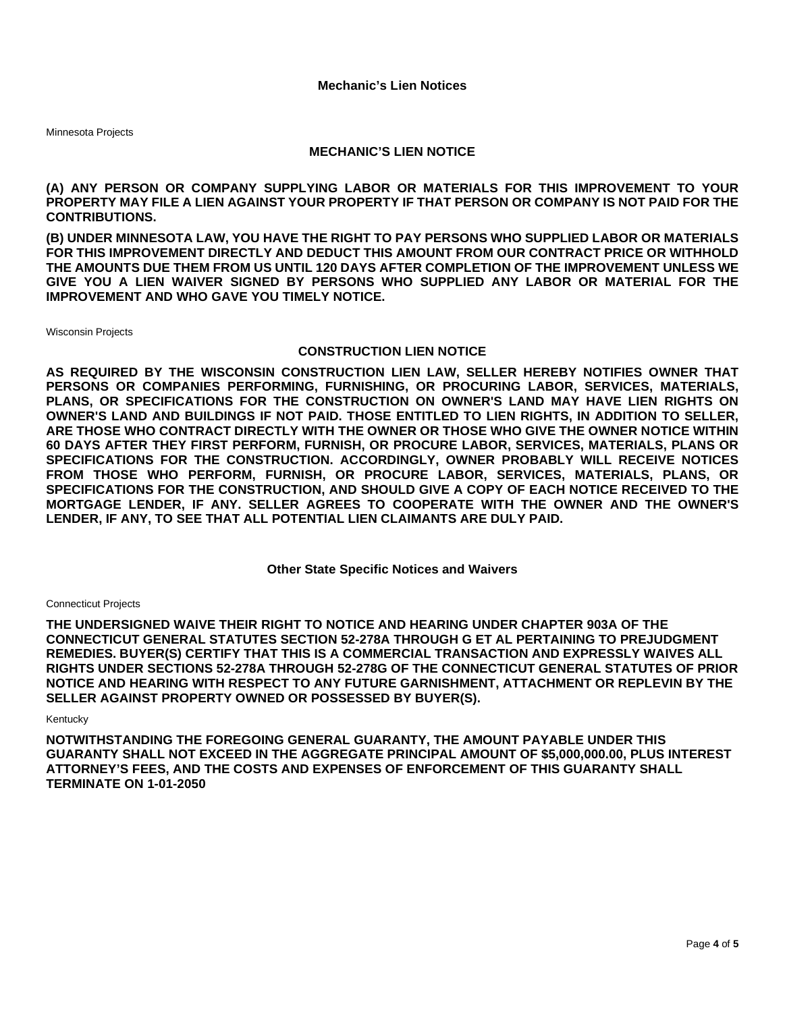Minnesota Projects

## **MECHANIC'S LIEN NOTICE**

**(A) ANY PERSON OR COMPANY SUPPLYING LABOR OR MATERIALS FOR THIS IMPROVEMENT TO YOUR PROPERTY MAY FILE A LIEN AGAINST YOUR PROPERTY IF THAT PERSON OR COMPANY IS NOT PAID FOR THE CONTRIBUTIONS.** 

**(B) UNDER MINNESOTA LAW, YOU HAVE THE RIGHT TO PAY PERSONS WHO SUPPLIED LABOR OR MATERIALS FOR THIS IMPROVEMENT DIRECTLY AND DEDUCT THIS AMOUNT FROM OUR CONTRACT PRICE OR WITHHOLD THE AMOUNTS DUE THEM FROM US UNTIL 120 DAYS AFTER COMPLETION OF THE IMPROVEMENT UNLESS WE GIVE YOU A LIEN WAIVER SIGNED BY PERSONS WHO SUPPLIED ANY LABOR OR MATERIAL FOR THE IMPROVEMENT AND WHO GAVE YOU TIMELY NOTICE.** 

Wisconsin Projects

# **CONSTRUCTION LIEN NOTICE**

**AS REQUIRED BY THE WISCONSIN CONSTRUCTION LIEN LAW, SELLER HEREBY NOTIFIES OWNER THAT PERSONS OR COMPANIES PERFORMING, FURNISHING, OR PROCURING LABOR, SERVICES, MATERIALS, PLANS, OR SPECIFICATIONS FOR THE CONSTRUCTION ON OWNER'S LAND MAY HAVE LIEN RIGHTS ON OWNER'S LAND AND BUILDINGS IF NOT PAID. THOSE ENTITLED TO LIEN RIGHTS, IN ADDITION TO SELLER, ARE THOSE WHO CONTRACT DIRECTLY WITH THE OWNER OR THOSE WHO GIVE THE OWNER NOTICE WITHIN 60 DAYS AFTER THEY FIRST PERFORM, FURNISH, OR PROCURE LABOR, SERVICES, MATERIALS, PLANS OR SPECIFICATIONS FOR THE CONSTRUCTION. ACCORDINGLY, OWNER PROBABLY WILL RECEIVE NOTICES FROM THOSE WHO PERFORM, FURNISH, OR PROCURE LABOR, SERVICES, MATERIALS, PLANS, OR SPECIFICATIONS FOR THE CONSTRUCTION, AND SHOULD GIVE A COPY OF EACH NOTICE RECEIVED TO THE MORTGAGE LENDER, IF ANY. SELLER AGREES TO COOPERATE WITH THE OWNER AND THE OWNER'S LENDER, IF ANY, TO SEE THAT ALL POTENTIAL LIEN CLAIMANTS ARE DULY PAID.** 

**Other State Specific Notices and Waivers** 

### Connecticut Projects

**THE UNDERSIGNED WAIVE THEIR RIGHT TO NOTICE AND HEARING UNDER CHAPTER 903A OF THE CONNECTICUT GENERAL STATUTES SECTION 52-278A THROUGH G ET AL PERTAINING TO PREJUDGMENT REMEDIES. BUYER(S) CERTIFY THAT THIS IS A COMMERCIAL TRANSACTION AND EXPRESSLY WAIVES ALL RIGHTS UNDER SECTIONS 52-278A THROUGH 52-278G OF THE CONNECTICUT GENERAL STATUTES OF PRIOR NOTICE AND HEARING WITH RESPECT TO ANY FUTURE GARNISHMENT, ATTACHMENT OR REPLEVIN BY THE SELLER AGAINST PROPERTY OWNED OR POSSESSED BY BUYER(S).** 

## Kentucky

**NOTWITHSTANDING THE FOREGOING GENERAL GUARANTY, THE AMOUNT PAYABLE UNDER THIS GUARANTY SHALL NOT EXCEED IN THE AGGREGATE PRINCIPAL AMOUNT OF \$5,000,000.00, PLUS INTEREST ATTORNEY'S FEES, AND THE COSTS AND EXPENSES OF ENFORCEMENT OF THIS GUARANTY SHALL TERMINATE ON 1-01-2050**